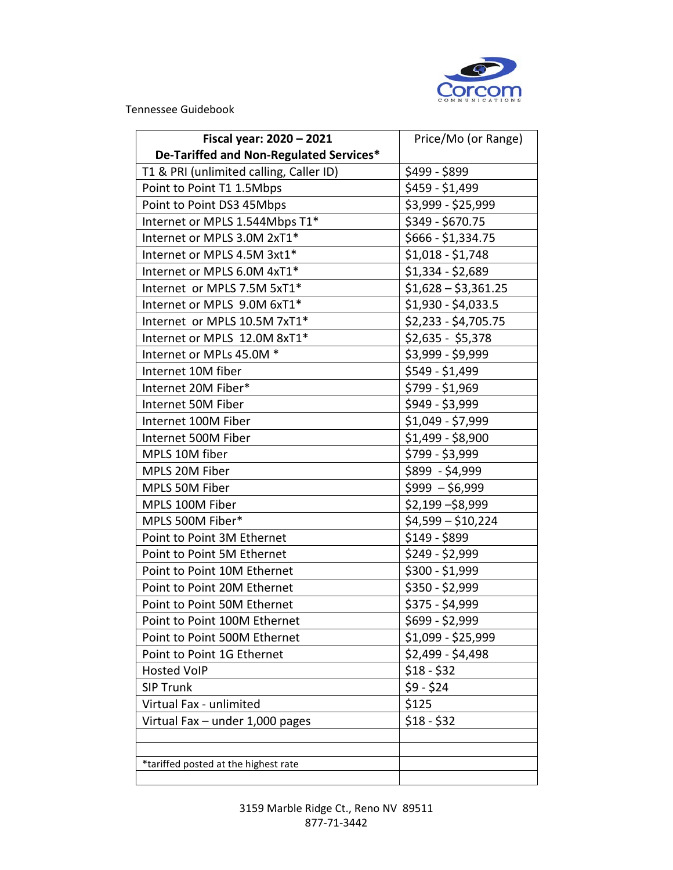

Tennessee Guidebook

| Fiscal year: 2020 - 2021                | Price/Mo (or Range)  |
|-----------------------------------------|----------------------|
| De-Tariffed and Non-Regulated Services* |                      |
| T1 & PRI (unlimited calling, Caller ID) | \$499 - \$899        |
| Point to Point T1 1.5Mbps               | \$459 - \$1,499      |
| Point to Point DS3 45Mbps               | \$3,999 - \$25,999   |
| Internet or MPLS 1.544Mbps T1*          | \$349 - \$670.75     |
| Internet or MPLS 3.0M 2xT1*             | \$666 - \$1,334.75   |
| Internet or MPLS 4.5M 3xt1*             | $$1,018 - $1,748$    |
| Internet or MPLS 6.0M 4xT1*             | $$1,334 - $2,689$    |
| Internet or MPLS 7.5M 5xT1*             | $$1,628 - $3,361.25$ |
| Internet or MPLS 9.0M 6xT1*             | \$1,930 - \$4,033.5  |
| Internet or MPLS 10.5M 7xT1*            | $$2,233 - $4,705.75$ |
| Internet or MPLS 12.0M 8xT1*            | $$2,635 - $5,378$    |
| Internet or MPLs 45.0M *                | \$3,999 - \$9,999    |
| Internet 10M fiber                      | \$549 - \$1,499      |
| Internet 20M Fiber*                     | $$799 - $1,969$      |
| Internet 50M Fiber                      | \$949 - \$3,999      |
| Internet 100M Fiber                     | \$1,049 - \$7,999    |
| Internet 500M Fiber                     | $$1,499 - $8,900$    |
| MPLS 10M fiber                          | \$799 - \$3,999      |
| MPLS 20M Fiber                          | \$899 - \$4,999      |
| MPLS 50M Fiber                          | $$999 - $6,999$      |
| MPLS 100M Fiber                         | $$2,199 - $8,999$    |
| MPLS 500M Fiber*                        | $$4,599 - $10,224$   |
| Point to Point 3M Ethernet              | $$149 - $899$        |
| Point to Point 5M Ethernet              | $$249 - $2,999$      |
| Point to Point 10M Ethernet             | \$300 - \$1,999      |
| Point to Point 20M Ethernet             | \$350 - \$2,999      |
| Point to Point 50M Ethernet             | \$375 - \$4,999      |
| Point to Point 100M Ethernet            | \$699 - \$2,999      |
| Point to Point 500M Ethernet            | \$1,099 - \$25,999   |
| Point to Point 1G Ethernet              | \$2,499 - \$4,498    |
| <b>Hosted VoIP</b>                      | $$18 - $32$          |
| <b>SIP Trunk</b>                        | $$9 - $24$           |
| Virtual Fax - unlimited                 | \$125                |
| Virtual Fax $-$ under 1,000 pages       | $$18 - $32$          |
|                                         |                      |
|                                         |                      |
| *tariffed posted at the highest rate    |                      |